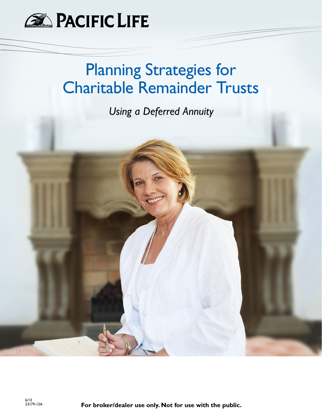

## Planning Strategies for Charitable Remainder Trusts

*Using a Deferred Annuity*

For broker/dealer use only. Not for use with the public.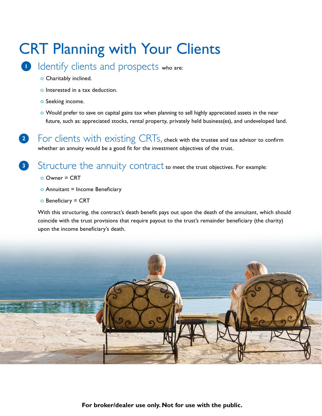# CRT Planning with Your Clients

- 1 Identify clients and prospects who are:
	- **o** Charitably inclined.
	- **o** Interested in a tax deduction.
	- **o** Seeking income.
	- **o** Would prefer to save on capital gains tax when planning to sell highly appreciated assets in the near future, such as: appreciated stocks, rental property, privately held business(es), and undeveloped land.

**2** For clients with existing CRTs, check with the trustee and tax advisor to confirm whether an annuity would be a good fit for the investment objectives of the trust.

**3** Structure the annuity contract to meet the trust objectives. For example:

- **o** Owner = CRT
- **o** Annuitant = Income Beneficiary
- **o** Beneficiary = CRT

With this structuring, the contract's death benefit pays out upon the death of the annuitant, which should coincide with the trust provisions that require payout to the trust's remainder beneficiary (the charity) upon the income beneficiary's death.

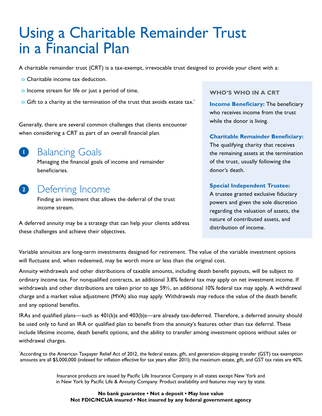## Using a Charitable Remainder Trust in a Financial Plan

A charitable remainder trust (CRT) is a tax-exempt, irrevocable trust designed to provide your client with a:

- **o** Charitable income tax deduction.
- **o** Income stream for life or just a period of time.
- **o** Gift to a charity at the termination of the trust that avoids estate tax.<sup>\*</sup>

Generally, there are several common challenges that clients encounter when considering a CRT as part of an overall financial plan.

## **1** Balancing Goals

Managing the financial goals of income and remainder beneficiaries.

## **<sup>2</sup>** Deferring Income

Finding an investment that allows the deferral of the trust income stream.

A deferred annuity may be a strategy that can help your clients address these challenges and achieve their objectives.

#### **WHO'S WHO IN A CRT**

**Income Beneficiary:** The beneficiary who receives income from the trust while the donor is living.

#### **Charitable Remainder Beneficiary:**

The qualifying charity that receives the remaining assets at the termination of the trust, usually following the donor's death.

#### **Special Independent Trustee:**

A trustee granted exclusive fiduciary powers and given the sole discretion regarding the valuation of assets, the nature of contributed assets, and distribution of income.

Variable annuities are long-term investments designed for retirement. The value of the variable investment options will fluctuate and, when redeemed, may be worth more or less than the original cost.

Annuity withdrawals and other distributions of taxable amounts, including death benefit payouts, will be subject to ordinary income tax. For nonqualified contracts, an additional 3.8% federal tax may apply on net investment income. If withdrawals and other distributions are taken prior to age 59½, an additional 10% federal tax may apply. A withdrawal charge and a market value adjustment (MVA) also may apply. Withdrawals may reduce the value of the death benefit and any optional benefits.

IRAs and qualified plans—such as 401(k)s and 403(b)s—are already tax-deferred. Therefore, a deferred annuity should be used only to fund an IRA or qualified plan to benefit from the annuity's features other than tax deferral. These include lifetime income, death benefit options, and the ability to transfer among investment options without sales or withdrawal charges.

\* According to the American Taxpayer Relief Act of 2012, the federal estate, gift, and generation-skipping transfer (GST) tax exemption amounts are all \$5,000,000 (indexed for inflation effective for tax years after 2011); the maximum estate, gift, and GST tax rates are 40%.

> Insurance products are issued by Pacific Life Insurance Company in all states except New York and in New York by Pacific Life & Annuity Company. Product availability and features may vary by state.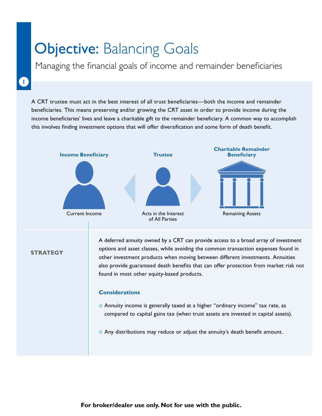## **Objective: Balancing Goals**

Managing the financial goals of income and remainder beneficiaries

**1**

A CRT trustee must act in the best interest of all trust beneficiaries—both the income and remainder beneficiaries. This means preserving and/or growing the CRT asset in order to provide income during the income beneficiaries' lives and leave a charitable gift to the remainder beneficiary. A common way to accomplish this involves finding investment options that will offer diversification and some form of death benefit.



**STRATEGY**

A deferred annuity owned by a CRT can provide access to a broad array of investment options and asset classes, while avoiding the common transaction expenses found in other investment products when moving between different investments. Annuities also provide guaranteed death benefits that can offer protection from market risk not found in most other equity-based products.

#### **Considerations**

- **o** Annuity income is generally taxed at a higher "ordinary income" tax rate, as compared to capital gains tax (when trust assets are invested in capital assets).
- **o** Any distributions may reduce or adjust the annuity's death benefit amount.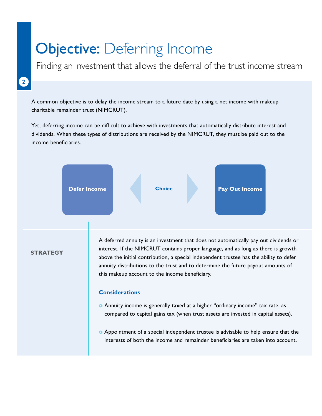## **Objective: Deferring Income**

Finding an investment that allows the deferral of the trust income stream

## **2**

A common objective is to delay the income stream to a future date by using a net income with makeup charitable remainder trust (NIMCRUT).

Yet, deferring income can be difficult to achieve with investments that automatically distribute interest and dividends. When these types of distributions are received by the NIMCRUT, they must be paid out to the income beneficiaries.